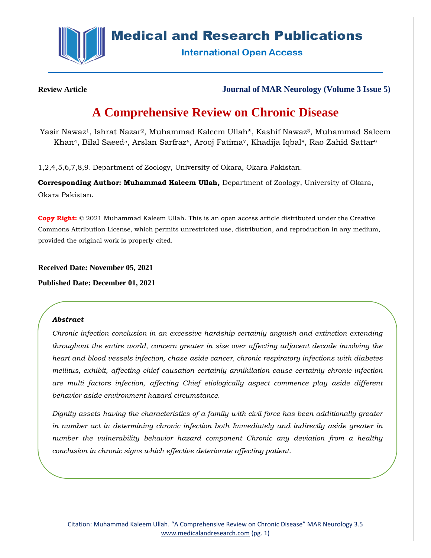

# **Medical and Research Publications**

**International Open Access** 

**Review Article Journal of MAR Neurology (Volume 3 Issue 5)**

# **A Comprehensive Review on Chronic Disease**

Yasir Nawaz1, Ishrat Nazar2, Muhammad Kaleem Ullah\*, Kashif Nawaz3, Muhammad Saleem Khan<sup>4</sup>, Bilal Saeed<sup>5</sup>, Arslan Sarfraz<sup>6</sup>, Arooj Fatima<sup>7</sup>, Khadija Iqbal<sup>8</sup>, Rao Zahid Sattar<sup>9</sup>

1,2,4,5,6,7,8,9. Department of Zoology, University of Okara, Okara Pakistan.

**Corresponding Author: Muhammad Kaleem Ullah,** Department of Zoology, University of Okara, Okara Pakistan.

**Copy Right:** © 2021 Muhammad Kaleem Ullah. This is an open access article distributed under the Creative Commons Attribution License, which permits unrestricted use, distribution, and reproduction in any medium, provided the original work is properly cited.

**Received Date: November 05, 2021**

**Published Date: December 01, 2021**

## *Abstract*

*Chronic infection conclusion in an excessive hardship certainly anguish and extinction extending throughout the entire world, concern greater in size over affecting adjacent decade involving the heart and blood vessels infection, chase aside cancer, chronic respiratory infections with diabetes mellitus, exhibit, affecting chief causation certainly annihilation cause certainly chronic infection are multi factors infection, affecting Chief etiologically aspect commence play aside different behavior aside environment hazard circumstance.*

*Dignity assets having the characteristics of a family with civil force has been additionally greater in number act in determining chronic infection both Immediately and indirectly aside greater in number the vulnerability behavior hazard component Chronic any deviation from a healthy conclusion in chronic signs which effective deteriorate affecting patient.*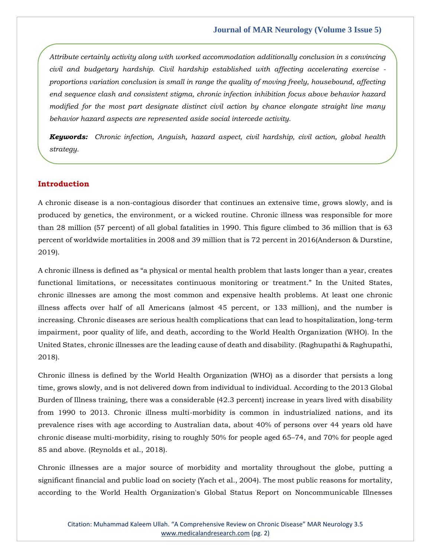*Attribute certainly activity along with worked accommodation additionally conclusion in s convincing civil and budgetary hardship. Civil hardship established with affecting accelerating exercise proportions variation conclusion is small in range the quality of moving freely, housebound, affecting end sequence clash and consistent stigma, chronic infection inhibition focus above behavior hazard modified for the most part designate distinct civil action by chance elongate straight line many behavior hazard aspects are represented aside social intercede activity.*

*Keywords: Chronic infection, Anguish, hazard aspect, civil hardship, civil action, global health strategy.*

# **Introduction**

A chronic disease is a non-contagious disorder that continues an extensive time, grows slowly, and is produced by genetics, the environment, or a wicked routine. Chronic illness was responsible for more than 28 million (57 percent) of all global fatalities in 1990. This figure climbed to 36 million that is 63 percent of worldwide mortalities in 2008 and 39 million that is 72 percent in 2016(Anderson & Durstine, 2019).

A chronic illness is defined as "a physical or mental health problem that lasts longer than a year, creates functional limitations, or necessitates continuous monitoring or treatment." In the United States, chronic illnesses are among the most common and expensive health problems. At least one chronic illness affects over half of all Americans (almost 45 percent, or 133 million), and the number is increasing. Chronic diseases are serious health complications that can lead to hospitalization, long-term impairment, poor quality of life, and death, according to the World Health Organization (WHO). In the United States, chronic illnesses are the leading cause of death and disability. (Raghupathi & Raghupathi, 2018).

Chronic illness is defined by the World Health Organization (WHO) as a disorder that persists a long time, grows slowly, and is not delivered down from individual to individual. According to the 2013 Global Burden of Illness training, there was a considerable (42.3 percent) increase in years lived with disability from 1990 to 2013. Chronic illness multi-morbidity is common in industrialized nations, and its prevalence rises with age according to Australian data, about 40% of persons over 44 years old have chronic disease multi-morbidity, rising to roughly 50% for people aged 65–74, and 70% for people aged 85 and above. (Reynolds et al., 2018).

Chronic illnesses are a major source of morbidity and mortality throughout the globe, putting a significant financial and public load on society (Yach et al., 2004). The most public reasons for mortality, according to the World Health Organization's Global Status Report on Noncommunicable Illnesses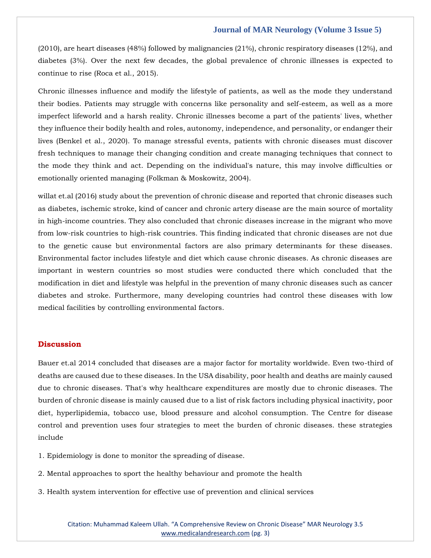## **Journal of MAR Neurology (Volume 3 Issue 5)**

(2010), are heart diseases (48%) followed by malignancies (21%), chronic respiratory diseases (12%), and diabetes (3%). Over the next few decades, the global prevalence of chronic illnesses is expected to continue to rise (Roca et al., 2015).

Chronic illnesses influence and modify the lifestyle of patients, as well as the mode they understand their bodies. Patients may struggle with concerns like personality and self-esteem, as well as a more imperfect lifeworld and a harsh reality. Chronic illnesses become a part of the patients' lives, whether they influence their bodily health and roles, autonomy, independence, and personality, or endanger their lives (Benkel et al., 2020). To manage stressful events, patients with chronic diseases must discover fresh techniques to manage their changing condition and create managing techniques that connect to the mode they think and act. Depending on the individual's nature, this may involve difficulties or emotionally oriented managing (Folkman & Moskowitz, 2004).

willat et.al (2016) study about the prevention of chronic disease and reported that chronic diseases such as diabetes, ischemic stroke, kind of cancer and chronic artery disease are the main source of mortality in high-income countries. They also concluded that chronic diseases increase in the migrant who move from low-risk countries to high-risk countries. This finding indicated that chronic diseases are not due to the genetic cause but environmental factors are also primary determinants for these diseases. Environmental factor includes lifestyle and diet which cause chronic diseases. As chronic diseases are important in western countries so most studies were conducted there which concluded that the modification in diet and lifestyle was helpful in the prevention of many chronic diseases such as cancer diabetes and stroke. Furthermore, many developing countries had control these diseases with low medical facilities by controlling environmental factors.

# **Discussion**

Bauer et.al 2014 concluded that diseases are a major factor for mortality worldwide. Even two-third of deaths are caused due to these diseases. In the USA disability, poor health and deaths are mainly caused due to chronic diseases. That's why healthcare expenditures are mostly due to chronic diseases. The burden of chronic disease is mainly caused due to a list of risk factors including physical inactivity, poor diet, hyperlipidemia, tobacco use, blood pressure and alcohol consumption. The Centre for disease control and prevention uses four strategies to meet the burden of chronic diseases. these strategies include

1. Epidemiology is done to monitor the spreading of disease.

2. Mental approaches to sport the healthy behaviour and promote the health

3. Health system intervention for effective use of prevention and clinical services

Citation: Muhammad Kaleem Ullah. "A Comprehensive Review on Chronic Disease" MAR Neurology 3.5 [www.medicalandresearch.com](http://www.medicalandresearch.com/) (pg. 3)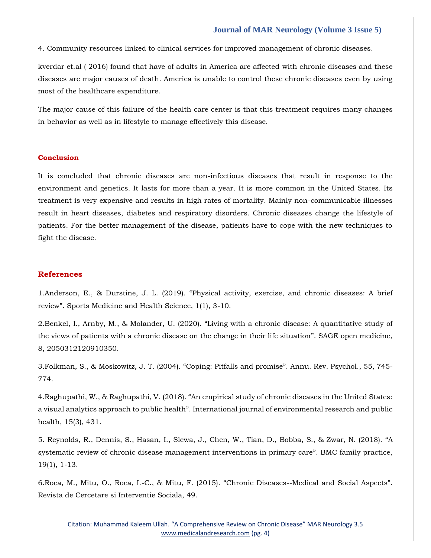## **Journal of MAR Neurology (Volume 3 Issue 5)**

4. Community resources linked to clinical services for improved management of chronic diseases.

kverdar et.al ( 2016) found that have of adults in America are affected with chronic diseases and these diseases are major causes of death. America is unable to control these chronic diseases even by using most of the healthcare expenditure.

The major cause of this failure of the health care center is that this treatment requires many changes in behavior as well as in lifestyle to manage effectively this disease.

#### **Conclusion**

It is concluded that chronic diseases are non-infectious diseases that result in response to the environment and genetics. It lasts for more than a year. It is more common in the United States. Its treatment is very expensive and results in high rates of mortality. Mainly non-communicable illnesses result in heart diseases, diabetes and respiratory disorders. Chronic diseases change the lifestyle of patients. For the better management of the disease, patients have to cope with the new techniques to fight the disease.

## **References**

1.Anderson, E., & Durstine, J. L. (2019). "[Physical activity, exercise, and chronic diseases: A brief](https://www.google.com/search?q=Physical+activity%2C+exercise%2C+and+chronic+diseases%3A+A+brief+review&oq=Physical+activity%2C+exercise%2C+and+chronic+diseases%3A+A+brief+review&aqs=chrome..69i57.1223j0j7&sourceid=chrome&ie=UTF-8)  review"[. Sports Medicine and Health Science, 1\(1\), 3-10.](https://www.google.com/search?q=Physical+activity%2C+exercise%2C+and+chronic+diseases%3A+A+brief+review&oq=Physical+activity%2C+exercise%2C+and+chronic+diseases%3A+A+brief+review&aqs=chrome..69i57.1223j0j7&sourceid=chrome&ie=UTF-8)

2.Benkel, I., Arnby, M., & Molander, U. (2020). "[Living with a chronic disease: A quantitative study of](https://www.google.com/search?q=Living+with+a+chronic+disease%3A+A+quantitative+study+of+the+views+of+patients+with+a+chronic+disease+on+the+change+in+their+life+situation&sxsrf=AOaemvKtBXu-5-IWaMO4YWKqKk9UiWkNKg%3A1636365081864&ei=GfOIYYuENNeN4-EP84Gx8A0&oq=Living+with+a+chronic+disease%3A+A+quantitative+study+of+the+views+of+patients+with+a+chronic+disease+on+the+change+in+their+life+situation&gs_lcp=Cgdnd3Mtd2l6EAMyBwgjEOoCECcyBwgjEOoCECcyBwgjEOoCECcyBwgjEOoCECcyBwgjEOoCECcyBwgjEOoCECcyBwgjEOoCECcyBwgjEOoCECcyBwgjEOoCECcyBwgjEOoCECdKBAhBGABQ3AdY3Adg4BFoAXACeACAAQCIAQCSAQCYAQCgAQGgAQKwAQrAAQE&sclient=gws-wiz&ved=0ahUKEwjL9LT7voj0AhXXxjgGHfNADN4Q4dUDCA8&uact=5)  [the views of patients with a chronic disease on the change in their life situation](https://www.google.com/search?q=Living+with+a+chronic+disease%3A+A+quantitative+study+of+the+views+of+patients+with+a+chronic+disease+on+the+change+in+their+life+situation&sxsrf=AOaemvKtBXu-5-IWaMO4YWKqKk9UiWkNKg%3A1636365081864&ei=GfOIYYuENNeN4-EP84Gx8A0&oq=Living+with+a+chronic+disease%3A+A+quantitative+study+of+the+views+of+patients+with+a+chronic+disease+on+the+change+in+their+life+situation&gs_lcp=Cgdnd3Mtd2l6EAMyBwgjEOoCECcyBwgjEOoCECcyBwgjEOoCECcyBwgjEOoCECcyBwgjEOoCECcyBwgjEOoCECcyBwgjEOoCECcyBwgjEOoCECcyBwgjEOoCECcyBwgjEOoCECdKBAhBGABQ3AdY3Adg4BFoAXACeACAAQCIAQCSAQCYAQCgAQGgAQKwAQrAAQE&sclient=gws-wiz&ved=0ahUKEwjL9LT7voj0AhXXxjgGHfNADN4Q4dUDCA8&uact=5)". SAGE open medicine, [8, 2050312120910350.](https://www.google.com/search?q=Living+with+a+chronic+disease%3A+A+quantitative+study+of+the+views+of+patients+with+a+chronic+disease+on+the+change+in+their+life+situation&sxsrf=AOaemvKtBXu-5-IWaMO4YWKqKk9UiWkNKg%3A1636365081864&ei=GfOIYYuENNeN4-EP84Gx8A0&oq=Living+with+a+chronic+disease%3A+A+quantitative+study+of+the+views+of+patients+with+a+chronic+disease+on+the+change+in+their+life+situation&gs_lcp=Cgdnd3Mtd2l6EAMyBwgjEOoCECcyBwgjEOoCECcyBwgjEOoCECcyBwgjEOoCECcyBwgjEOoCECcyBwgjEOoCECcyBwgjEOoCECcyBwgjEOoCECcyBwgjEOoCECcyBwgjEOoCECdKBAhBGABQ3AdY3Adg4BFoAXACeACAAQCIAQCSAQCYAQCgAQGgAQKwAQrAAQE&sclient=gws-wiz&ved=0ahUKEwjL9LT7voj0AhXXxjgGHfNADN4Q4dUDCA8&uact=5)

3[.Folkman, S., & Moskowitz, J. T. \(2004\).](https://www.google.com/search?q=Coping%3A+Pitfalls+and+promise&sxsrf=AOaemvJ1PNYnZPcTxYZ0HuxgYz_cPlOkaQ%3A1636365107794&ei=M_OIYY_wL5WY4-EPkZqIuAQ&oq=Coping%3A+Pitfalls+and+promise&gs_lcp=Cgdnd3Mtd2l6EAMyBwgjEOoCECcyBwgjEOoCECcyBwgjEOoCECcyBwgjEOoCECcyBwgjEOoCECcyBwgjEOoCECcyBwgjEOoCECcyBwgjEOoCECcyBwgjEOoCECcyBwgjEOoCECdKBAhBGABQ9wJY9wJghQVoAXACeACAAQCIAQCSAQCYAQCgAQGgAQKwAQrAAQE&sclient=gws-wiz&ved=0ahUKEwjP1eOHv4j0AhUVzDgGHRENAkcQ4dUDCA8&uact=5) "Coping: Pitfalls and promise". Annu. Rev. Psychol., 55, 745- [774.](https://www.google.com/search?q=Coping%3A+Pitfalls+and+promise&sxsrf=AOaemvJ1PNYnZPcTxYZ0HuxgYz_cPlOkaQ%3A1636365107794&ei=M_OIYY_wL5WY4-EPkZqIuAQ&oq=Coping%3A+Pitfalls+and+promise&gs_lcp=Cgdnd3Mtd2l6EAMyBwgjEOoCECcyBwgjEOoCECcyBwgjEOoCECcyBwgjEOoCECcyBwgjEOoCECcyBwgjEOoCECcyBwgjEOoCECcyBwgjEOoCECcyBwgjEOoCECcyBwgjEOoCECdKBAhBGABQ9wJY9wJghQVoAXACeACAAQCIAQCSAQCYAQCgAQGgAQKwAQrAAQE&sclient=gws-wiz&ved=0ahUKEwjP1eOHv4j0AhUVzDgGHRENAkcQ4dUDCA8&uact=5)

4.Raghupathi, W., & Raghupathi, V. (2018). "[An empirical study of chronic diseases in the United States:](https://www.google.com/search?q=An+empirical+study+of+chronic+diseases+in+the+United+States%3A+a+visual+analytics+approach+to+public+health&sxsrf=AOaemvK9GrQ33u2d6mkkkoCLl5CB8yt0NA%3A1636365125948&ei=RfOIYZu3OZif4-EPxoC3-As&oq=An+empirical+study+of+chronic+diseases+in+the+United+States%3A+a+visual+analytics+approach+to+public+health&gs_lcp=Cgdnd3Mtd2l6EAMyBwgjEOoCECcyBwgjEOoCECcyBwgjEOoCECcyBwgjEOoCECcyBwgjEOoCECcyBwgjEOoCECcyBwgjEOoCECcyBwgjEOoCECcyBwgjEOoCECcyBwgjEOoCECdKBAhBGABQwgZYwgZgyghoAXACeACAAQCIAQCSAQCYAQCgAQGgAQKwAQrAAQE&sclient=gws-wiz&ved=0ahUKEwjb7beQv4j0AhWYzzgGHUbADb8Q4dUDCA8&uact=5)  a visual analytics approach to public health"[. International journal of environmental research and public](https://www.google.com/search?q=An+empirical+study+of+chronic+diseases+in+the+United+States%3A+a+visual+analytics+approach+to+public+health&sxsrf=AOaemvK9GrQ33u2d6mkkkoCLl5CB8yt0NA%3A1636365125948&ei=RfOIYZu3OZif4-EPxoC3-As&oq=An+empirical+study+of+chronic+diseases+in+the+United+States%3A+a+visual+analytics+approach+to+public+health&gs_lcp=Cgdnd3Mtd2l6EAMyBwgjEOoCECcyBwgjEOoCECcyBwgjEOoCECcyBwgjEOoCECcyBwgjEOoCECcyBwgjEOoCECcyBwgjEOoCECcyBwgjEOoCECcyBwgjEOoCECcyBwgjEOoCECdKBAhBGABQwgZYwgZgyghoAXACeACAAQCIAQCSAQCYAQCgAQGgAQKwAQrAAQE&sclient=gws-wiz&ved=0ahUKEwjb7beQv4j0AhWYzzgGHUbADb8Q4dUDCA8&uact=5)  [health, 15\(3\), 431.](https://www.google.com/search?q=An+empirical+study+of+chronic+diseases+in+the+United+States%3A+a+visual+analytics+approach+to+public+health&sxsrf=AOaemvK9GrQ33u2d6mkkkoCLl5CB8yt0NA%3A1636365125948&ei=RfOIYZu3OZif4-EPxoC3-As&oq=An+empirical+study+of+chronic+diseases+in+the+United+States%3A+a+visual+analytics+approach+to+public+health&gs_lcp=Cgdnd3Mtd2l6EAMyBwgjEOoCECcyBwgjEOoCECcyBwgjEOoCECcyBwgjEOoCECcyBwgjEOoCECcyBwgjEOoCECcyBwgjEOoCECcyBwgjEOoCECcyBwgjEOoCECcyBwgjEOoCECdKBAhBGABQwgZYwgZgyghoAXACeACAAQCIAQCSAQCYAQCgAQGgAQKwAQrAAQE&sclient=gws-wiz&ved=0ahUKEwjb7beQv4j0AhWYzzgGHUbADb8Q4dUDCA8&uact=5)

5. [Reynolds, R., Dennis, S., Hasan, I., Slewa, J., Chen, W., Tian, D., Bobba, S., & Zwar, N. \(2018\).](https://www.google.com/search?q=A+systematic+review+of+chronic+disease+management+interventions+in+primary+care&sxsrf=AOaemvKGf32sNLaR--ZZHoYi4JYTkVBzxQ%3A1636365143789&ei=V_OIYYy3L5u94-EPodeP-AU&oq=A+systematic+review+of+chronic+disease+management+interventions+in+primary+care&gs_lcp=Cgdnd3Mtd2l6EAMyBwgjEOoCECcyBwgjEOoCECcyBwgjEOoCECcyBwgjEOoCECcyBwgjEOoCECcyBwgjEOoCECcyBwgjEOoCECcyBwgjEOoCECcyBwgjEOoCECcyBwgjEOoCECdKBAhBGABQkwZYkwZgkAloAXACeACAAQCIAQCSAQCYAQCgAQGgAQKwAQrAAQE&sclient=gws-wiz&ved=0ahUKEwjMvviYv4j0AhWb3jgGHaHrA18Q4dUDCA8&uact=5) "A [systematic review of chronic disease management interventions in primary care](https://www.google.com/search?q=A+systematic+review+of+chronic+disease+management+interventions+in+primary+care&sxsrf=AOaemvKGf32sNLaR--ZZHoYi4JYTkVBzxQ%3A1636365143789&ei=V_OIYYy3L5u94-EPodeP-AU&oq=A+systematic+review+of+chronic+disease+management+interventions+in+primary+care&gs_lcp=Cgdnd3Mtd2l6EAMyBwgjEOoCECcyBwgjEOoCECcyBwgjEOoCECcyBwgjEOoCECcyBwgjEOoCECcyBwgjEOoCECcyBwgjEOoCECcyBwgjEOoCECcyBwgjEOoCECcyBwgjEOoCECdKBAhBGABQkwZYkwZgkAloAXACeACAAQCIAQCSAQCYAQCgAQGgAQKwAQrAAQE&sclient=gws-wiz&ved=0ahUKEwjMvviYv4j0AhWb3jgGHaHrA18Q4dUDCA8&uact=5)". BMC family practice, [19\(1\), 1-13.](https://www.google.com/search?q=A+systematic+review+of+chronic+disease+management+interventions+in+primary+care&sxsrf=AOaemvKGf32sNLaR--ZZHoYi4JYTkVBzxQ%3A1636365143789&ei=V_OIYYy3L5u94-EPodeP-AU&oq=A+systematic+review+of+chronic+disease+management+interventions+in+primary+care&gs_lcp=Cgdnd3Mtd2l6EAMyBwgjEOoCECcyBwgjEOoCECcyBwgjEOoCECcyBwgjEOoCECcyBwgjEOoCECcyBwgjEOoCECcyBwgjEOoCECcyBwgjEOoCECcyBwgjEOoCECcyBwgjEOoCECdKBAhBGABQkwZYkwZgkAloAXACeACAAQCIAQCSAQCYAQCgAQGgAQKwAQrAAQE&sclient=gws-wiz&ved=0ahUKEwjMvviYv4j0AhWb3jgGHaHrA18Q4dUDCA8&uact=5)

6[.Roca, M., Mitu, O., Roca, I.-C., & Mitu, F. \(2015\).](https://www.google.com/search?q=Chronic+Diseases--Medical+and+Social+Aspects&sxsrf=AOaemvKUlKTzqYwzPWowSj02IpmO_Bf2qw%3A1636365172417&ei=dPOIYdfoGJ2V4-EPlcmDiAs&oq=Chronic+Diseases--Medical+and+Social+Aspects&gs_lcp=Cgdnd3Mtd2l6EAMyBwgjEOoCECcyBwgjEOoCECcyBwgjEOoCECcyBwgjEOoCECcyBwgjEOoCECcyBwgjEOoCECcyBwgjEOoCECcyBwgjEOoCECcyBwgjEOoCECcyBwgjEOoCECdKBAhBGABQswZYswZgpQloAXACeACAAQCIAQCSAQCYAQCgAQGgAQKwAQrAAQE&sclient=gws-wiz&ved=0ahUKEwjX8sumv4j0AhWdyjgGHZXkALEQ4dUDCA8&uact=5) "Chronic Diseases--Medical and Social Aspects". [Revista de Cercetare si Interventie Sociala, 49.](https://www.google.com/search?q=Chronic+Diseases--Medical+and+Social+Aspects&sxsrf=AOaemvKUlKTzqYwzPWowSj02IpmO_Bf2qw%3A1636365172417&ei=dPOIYdfoGJ2V4-EPlcmDiAs&oq=Chronic+Diseases--Medical+and+Social+Aspects&gs_lcp=Cgdnd3Mtd2l6EAMyBwgjEOoCECcyBwgjEOoCECcyBwgjEOoCECcyBwgjEOoCECcyBwgjEOoCECcyBwgjEOoCECcyBwgjEOoCECcyBwgjEOoCECcyBwgjEOoCECcyBwgjEOoCECdKBAhBGABQswZYswZgpQloAXACeACAAQCIAQCSAQCYAQCgAQGgAQKwAQrAAQE&sclient=gws-wiz&ved=0ahUKEwjX8sumv4j0AhWdyjgGHZXkALEQ4dUDCA8&uact=5)